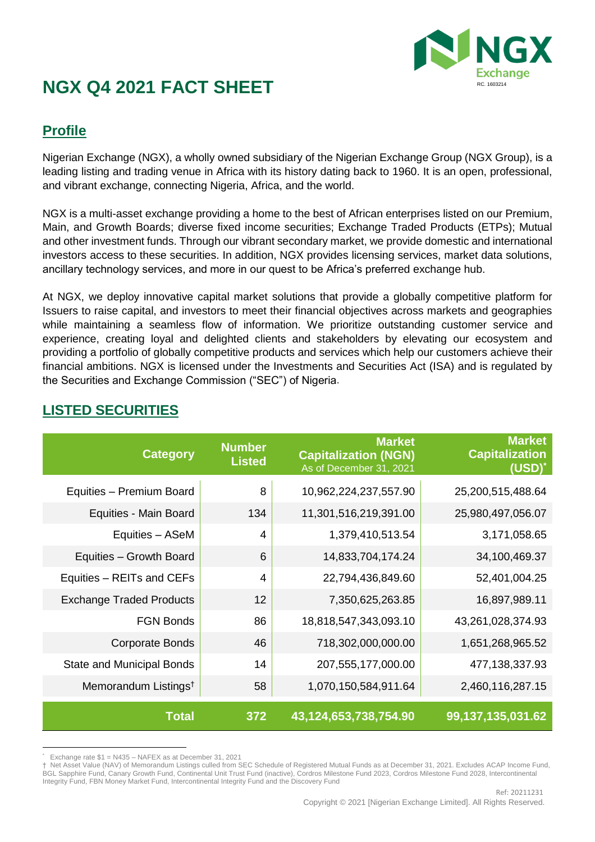

### **Profile**

Nigerian Exchange (NGX), a wholly owned subsidiary of the Nigerian Exchange Group (NGX Group), is a leading listing and trading venue in Africa with its history dating back to 1960. It is an open, professional, and vibrant exchange, connecting Nigeria, Africa, and the world.

NGX is a multi-asset exchange providing a home to the best of African enterprises listed on our Premium, Main, and Growth Boards; diverse fixed income securities; Exchange Traded Products (ETPs); Mutual and other investment funds. Through our vibrant secondary market, we provide domestic and international investors access to these securities. In addition, NGX provides licensing services, market data solutions, ancillary technology services, and more in our quest to be Africa's preferred exchange hub.

At NGX, we deploy innovative capital market solutions that provide a globally competitive platform for Issuers to raise capital, and investors to meet their financial objectives across markets and geographies while maintaining a seamless flow of information. We prioritize outstanding customer service and experience, creating loyal and delighted clients and stakeholders by elevating our ecosystem and providing a portfolio of globally competitive products and services which help our customers achieve their financial ambitions. NGX is licensed under the Investments and Securities Act (ISA) and is regulated by the Securities and Exchange Commission ("SEC") of Nigeria.

| <b>Category</b>                  | <b>Number</b><br><b>Listed</b> | <b>Market</b><br><b>Capitalization (NGN)</b><br>As of December 31, 2021 | <b>Market</b><br><b>Capitalization</b><br>$(USD)^*$ |
|----------------------------------|--------------------------------|-------------------------------------------------------------------------|-----------------------------------------------------|
| Equities - Premium Board         | 8                              | 10,962,224,237,557.90                                                   | 25,200,515,488.64                                   |
| Equities - Main Board            | 134                            | 11,301,516,219,391.00                                                   | 25,980,497,056.07                                   |
| Equities - ASeM                  | 4                              | 1,379,410,513.54                                                        | 3,171,058.65                                        |
| Equities - Growth Board          | 6                              | 14,833,704,174.24                                                       | 34,100,469.37                                       |
| Equities - REITs and CEFs        | 4                              | 22,794,436,849.60                                                       | 52,401,004.25                                       |
| <b>Exchange Traded Products</b>  | 12                             | 7,350,625,263.85                                                        | 16,897,989.11                                       |
| <b>FGN Bonds</b>                 | 86                             | 18,818,547,343,093.10                                                   | 43,261,028,374.93                                   |
| <b>Corporate Bonds</b>           | 46                             | 718,302,000,000.00                                                      | 1,651,268,965.52                                    |
| State and Municipal Bonds        | 14                             | 207,555,177,000.00                                                      | 477,138,337.93                                      |
| Memorandum Listings <sup>t</sup> | 58                             | 1,070,150,584,911.64                                                    | 2,460,116,287.15                                    |
| <b>Total</b>                     | 372                            | 43,124,653,738,754.90                                                   | 99,137,135,031.62                                   |

### **LISTED SECURITIES**

 $\overline{a}$ \* Exchange rate \$1 = N435 – NAFEX as at December 31, 2021

<sup>†</sup> Net Asset Value (NAV) of Memorandum Listings culled from SEC Schedule of Registered Mutual Funds as at December 31, 2021. Excludes ACAP Income Fund, BGL Sapphire Fund, Canary Growth Fund, Continental Unit Trust Fund (inactive), Cordros Milestone Fund 2023, Cordros Milestone Fund 2028, Intercontinental Integrity Fund, FBN Money Market Fund, Intercontinental Integrity Fund and the Discovery Fund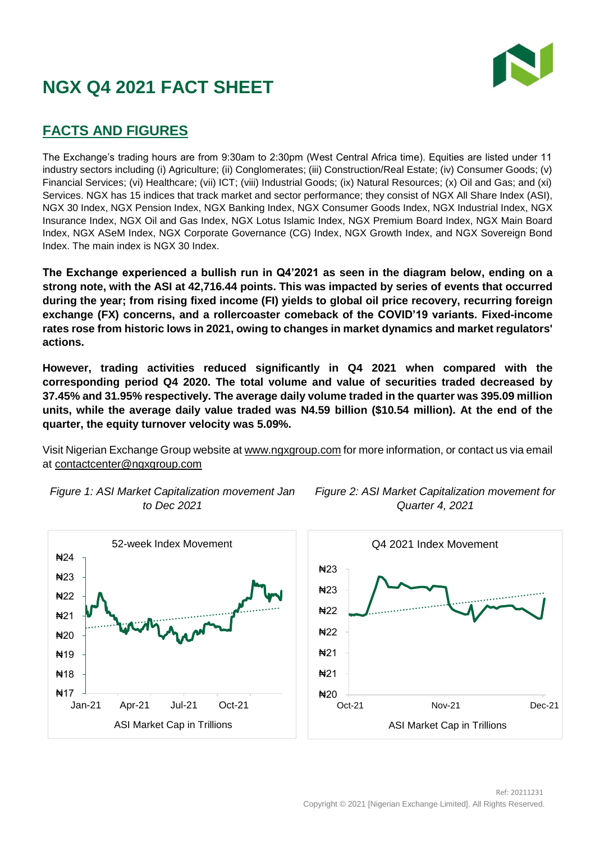

### **FACTS AND FIGURES**

The Exchange's trading hours are from 9:30am to 2:30pm (West Central Africa time). Equities are listed under 11 industry sectors including (i) Agriculture; (ii) Conglomerates; (iii) Construction/Real Estate; (iv) Consumer Goods; (v) Financial Services; (vi) Healthcare; (vii) ICT; (viii) Industrial Goods; (ix) Natural Resources; (x) Oil and Gas; and (xi) Services. NGX has 15 indices that track market and sector performance; they consist of NGX All Share Index (ASI), NGX 30 Index, NGX Pension Index, NGX Banking Index, NGX Consumer Goods Index, NGX Industrial Index, NGX Insurance Index, NGX Oil and Gas Index, NGX Lotus Islamic Index, NGX Premium Board Index, NGX Main Board Index, NGX ASeM Index, NGX Corporate Governance (CG) Index, NGX Growth Index, and NGX Sovereign Bond Index. The main index is NGX 30 Index.

**The Exchange experienced a bullish run in Q4'2021 as seen in the diagram below, ending on a strong note, with the ASI at 42,716.44 points. This was impacted by series of events that occurred during the year; from rising fixed income (FI) yields to global oil price recovery, recurring foreign exchange (FX) concerns, and a rollercoaster comeback of the COVID'19 variants. Fixed-income rates rose from historic lows in 2021, owing to changes in market dynamics and market regulators' actions.**

**However, trading activities reduced significantly in Q4 2021 when compared with the corresponding period Q4 2020. The total volume and value of securities traded decreased by 37.45% and 31.95% respectively. The average daily volume traded in the quarter was 395.09 million units, while the average daily value traded was N4.59 billion (\$10.54 million). At the end of the quarter, the equity turnover velocity was 5.09%.**

Visit Nigerian Exchange Group website a[t www.ngxgroup.com](http://www.ngxgroup.com/) for more information, or contact us via email at [contactcenter@ngxgroup.com](mailto:contactcenter@ngxgroup.com)







*Figure 2: ASI Market Capitalization movement for Quarter 4, 2021*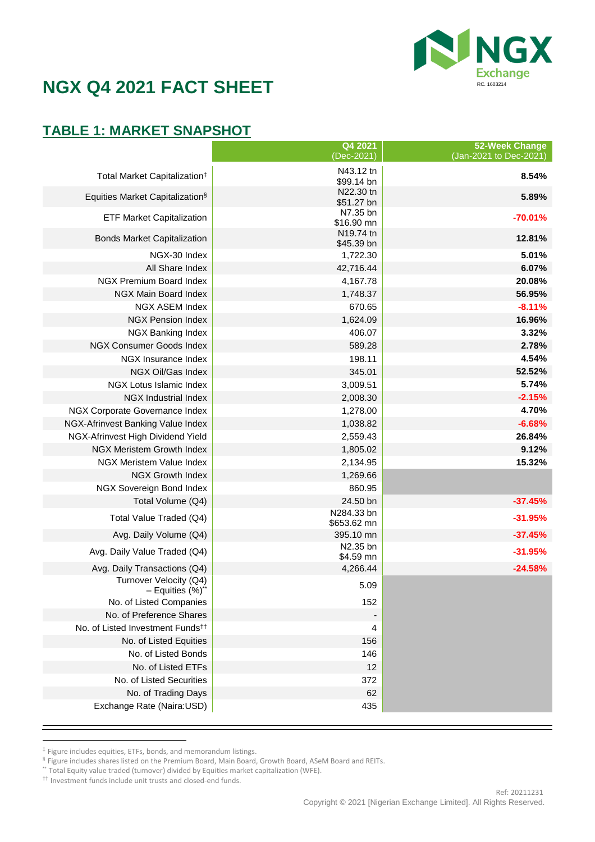

## **TABLE 1: MARKET SNAPSHOT**

|                                                 | Q4 2021<br>(Dec-2021)     | 52-Week Change<br>(Jan-2021 to Dec-2021) |
|-------------------------------------------------|---------------------------|------------------------------------------|
|                                                 | N43.12 tn                 |                                          |
| Total Market Capitalization <sup>‡</sup>        | \$99.14 bn                | 8.54%                                    |
| Equities Market Capitalization <sup>§</sup>     | N22.30 tn                 | 5.89%                                    |
|                                                 | \$51.27 bn<br>N7.35 bn    |                                          |
| <b>ETF Market Capitalization</b>                | \$16.90 mn                | $-70.01%$                                |
| <b>Bonds Market Capitalization</b>              | N19.74 tn                 | 12.81%                                   |
| NGX-30 Index                                    | \$45.39 bn                | 5.01%                                    |
| All Share Index                                 | 1,722.30<br>42,716.44     | 6.07%                                    |
| NGX Premium Board Index                         | 4,167.78                  | 20.08%                                   |
| NGX Main Board Index                            | 1,748.37                  | 56.95%                                   |
| <b>NGX ASEM Index</b>                           | 670.65                    | $-8.11%$                                 |
| <b>NGX Pension Index</b>                        | 1,624.09                  | 16.96%                                   |
| NGX Banking Index                               | 406.07                    | 3.32%                                    |
| NGX Consumer Goods Index                        | 589.28                    | 2.78%                                    |
| NGX Insurance Index                             | 198.11                    | 4.54%                                    |
| NGX Oil/Gas Index                               | 345.01                    | 52.52%                                   |
| NGX Lotus Islamic Index                         | 3,009.51                  | 5.74%                                    |
| <b>NGX Industrial Index</b>                     | 2,008.30                  | $-2.15%$                                 |
| NGX Corporate Governance Index                  | 1,278.00                  | 4.70%                                    |
| NGX-Afrinvest Banking Value Index               | 1,038.82                  | $-6.68%$                                 |
| NGX-Afrinvest High Dividend Yield               | 2,559.43                  | 26.84%                                   |
| NGX Meristem Growth Index                       | 1,805.02                  | 9.12%                                    |
| <b>NGX Meristem Value Index</b>                 | 2,134.95                  | 15.32%                                   |
| <b>NGX Growth Index</b>                         | 1,269.66                  |                                          |
| NGX Sovereign Bond Index                        | 860.95                    |                                          |
| Total Volume (Q4)                               | 24.50 bn                  | $-37.45%$                                |
| Total Value Traded (Q4)                         | N284.33 bn<br>\$653.62 mn | $-31.95%$                                |
| Avg. Daily Volume (Q4)                          | 395.10 mn                 | $-37.45%$                                |
|                                                 | N2.35 bn                  |                                          |
| Avg. Daily Value Traded (Q4)                    | \$4.59 mn                 | $-31.95%$                                |
| Avg. Daily Transactions (Q4)                    | 4,266.44                  | $-24.58%$                                |
| Turnover Velocity (Q4)<br>$-$ Equities $(\%)^*$ | 5.09                      |                                          |
| No. of Listed Companies                         | 152                       |                                          |
| No. of Preference Shares                        |                           |                                          |
| No. of Listed Investment Funds <sup>††</sup>    | 4                         |                                          |
| No. of Listed Equities                          | 156                       |                                          |
| No. of Listed Bonds                             | 146                       |                                          |
| No. of Listed ETFs                              | 12                        |                                          |
| No. of Listed Securities                        | 372                       |                                          |
| No. of Trading Days                             | 62                        |                                          |
| Exchange Rate (Naira:USD)                       | 435                       |                                          |
|                                                 |                           |                                          |

 ‡ Figure includes equities, ETFs, bonds, and memorandum listings.

<sup>§</sup> Figure includes shares listed on the Premium Board, Main Board, Growth Board, ASeM Board and REITs.

<sup>\*\*</sup> Total Equity value traded (turnover) divided by Equities market capitalization (WFE).

<sup>††</sup> Investment funds include unit trusts and closed-end funds.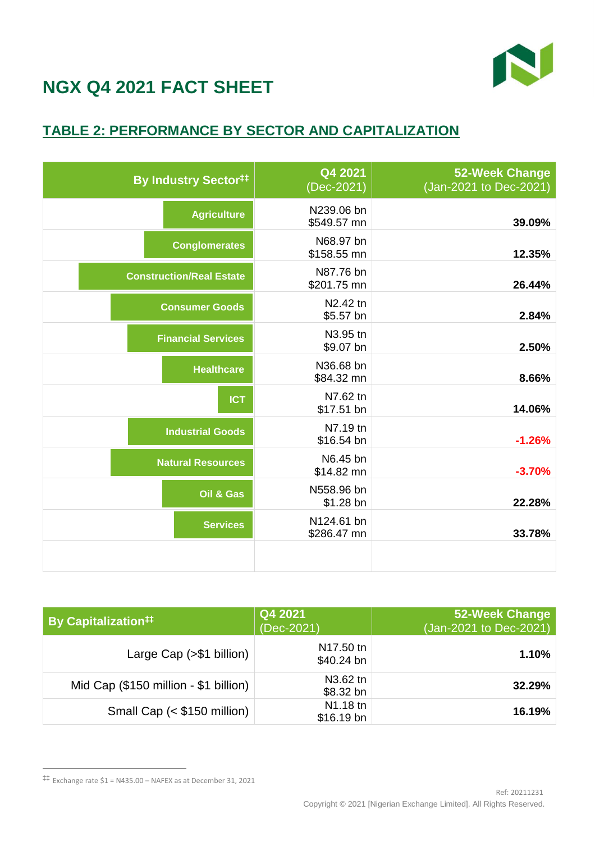

### **TABLE 2: PERFORMANCE BY SECTOR AND CAPITALIZATION**

<span id="page-3-0"></span>

| <b>By Industry Sector##</b>     | Q4 2021<br>(Dec-2021)     | <b>52-Week Change</b><br>(Jan-2021 to Dec-2021) |
|---------------------------------|---------------------------|-------------------------------------------------|
| <b>Agriculture</b>              | N239.06 bn<br>\$549.57 mn | 39.09%                                          |
| <b>Conglomerates</b>            | N68.97 bn<br>\$158.55 mn  | 12.35%                                          |
| <b>Construction/Real Estate</b> | N87.76 bn<br>\$201.75 mn  | 26.44%                                          |
| <b>Consumer Goods</b>           | N2.42 tn<br>\$5.57 bn     | 2.84%                                           |
| <b>Financial Services</b>       | N3.95 tn<br>\$9.07 bn     | 2.50%                                           |
| <b>Healthcare</b>               | N36.68 bn<br>\$84.32 mn   | 8.66%                                           |
| <b>ICT</b>                      | N7.62 tn<br>\$17.51 bn    | 14.06%                                          |
| <b>Industrial Goods</b>         | N7.19 tn<br>\$16.54 bn    | $-1.26%$                                        |
| <b>Natural Resources</b>        | N6.45 bn<br>\$14.82 mn    | $-3.70%$                                        |
| Oil & Gas                       | N558.96 bn<br>\$1.28 bn   | 22.28%                                          |
| <b>Services</b>                 | N124.61 bn<br>\$286.47 mn | 33.78%                                          |
|                                 |                           |                                                 |

| <b>By Capitalization#1</b>            | Q4 2021<br>(Dec-2021)   | 52-Week Change<br>(Jan-2021 to Dec-2021) |
|---------------------------------------|-------------------------|------------------------------------------|
| Large Cap $(>\$ \$1 billion)          | N17.50 tn<br>\$40.24 bn | 1.10%                                    |
| Mid Cap (\$150 million - \$1 billion) | N3.62 tn<br>$$8.32$ bn  | 32.29%                                   |
| Small Cap (< \$150 million)           | N1.18 tn<br>$$16.19$ bn | 16.19%                                   |

 $\overline{a}$ 

<sup>‡‡</sup> Exchange rate \$1 = N435.00 – NAFEX as at December 31, 2021